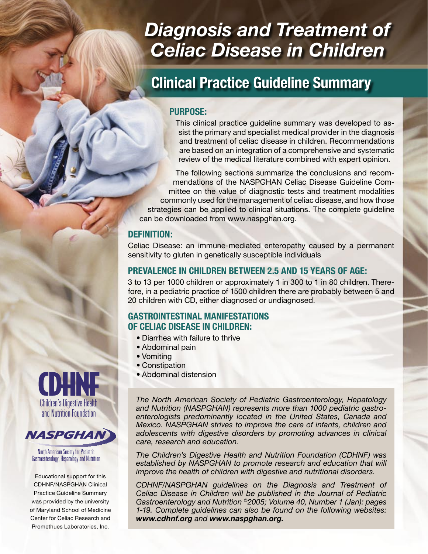# *Diagnosis and Treatment of Celiac Disease in Children*

## **Clinical Practice Guideline Summary**

#### **PURPOSE:**

This clinical practice guideline summary was developed to assist the primary and specialist medical provider in the diagnosis and treatment of celiac disease in children. Recommendations are based on an integration of a comprehensive and systematic review of the medical literature combined with expert opinion.

The following sections summarize the conclusions and recommendations of the NASPGHAN Celiac Disease Guideline Committee on the value of diagnostic tests and treatment modalities commonly used for the management of celiac disease, and how those strategies can be applied to clinical situations. The complete guideline can be downloaded from www.naspghan.org.

#### **DEFINITION:**

Celiac Disease: an immune-mediated enteropathy caused by a permanent sensitivity to gluten in genetically susceptible individuals

#### **PREVALENCE IN CHILDREN BETWEEN 2.5 AND 15 YEARS OF AGE:**

3 to 13 per 1000 children or approximately 1 in 300 to 1 in 80 children. Therefore, in a pediatric practice of 1500 children there are probably between 5 and 20 children with CD, either diagnosed or undiagnosed.

## **GASTROINTESTINAL MANIFESTATIONS OF CELIAC DISEASE IN CHILDREN:**

- Diarrhea with failure to thrive
- Abdominal pain
- Vomiting
- Constipation
- Abdominal distension

*The North American Society of Pediatric Gastroenterology, Hepatology and Nutrition (NASPGHAN) represents more than 1000 pediatric gastroenterologists predominantly located in the United States, Canada and Mexico. NASPGHAN strives to improve the care of infants, children and adolescents with digestive disorders by promoting advances in clinical care, research and education.*

*The Children's Digestive Health and Nutrition Foundation (CDHNF) was*  established by NASPGHAN to promote research and education that will *improve the health of children with digestive and nutritional disorders.*

*CDHNF/NASPGHAN guidelines on the Diagnosis and Treatment of Celiac Disease in Children will be published in the Journal of Pediatric Gastroenterology and Nutrition ©2005; Volume 40, Number 1 (Jan): pages 1-19. Complete guidelines can also be found on the following websites: www.cdhnf.org and www.naspghan.org.*





North American Society for Pediatric Gastroenterology, Hepatology and Nutrition

Educational support for this CDHNF/NASPGHAN Clinical Practice Guideline Summary was provided by the university of Maryland School of Medicine Center for Celiac Research and Promethues Laboratories, Inc.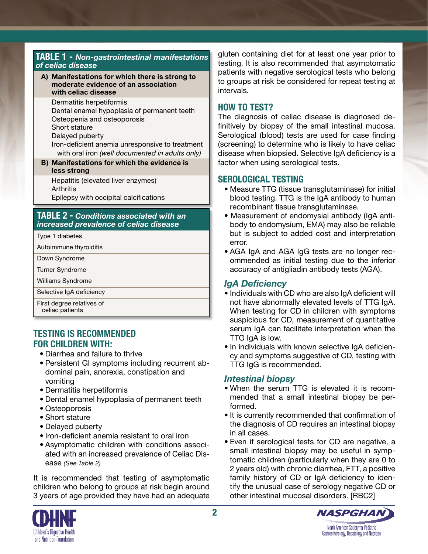#### **TABLE 1 -** *Non-gastrointestinal manifestations of celiac disease*

**A) Manifestations for which there is strong to moderate evidence of an association with celiac disease**

Dermatitis herpetiformis

- Dental enamel hypoplasia of permanent teeth
- Osteopenia and osteoporosis
- Short stature

Delayed puberty

 Iron-deficient anemia unresponsive to treatment with oral iron *(well documented in adults only)*

**B) Manifestations for which the evidence is less strong** 

Hepatitis (elevated liver enzymes) **Arthritis** Epilepsy with occipital calcifications

#### **TABLE 2 -** *Conditions associated with an increased prevalence of celiac disease*

| Type 1 diabetes                              |  |
|----------------------------------------------|--|
| Autoimmune thyroiditis                       |  |
| Down Syndrome                                |  |
| <b>Turner Syndrome</b>                       |  |
| Williams Syndrome                            |  |
| Selective IgA deficiency                     |  |
| First degree relatives of<br>celiac patients |  |

## **TESTING IS RECOMMENDED FOR CHILDREN WITH:**

- Diarrhea and failure to thrive
- Persistent GI symptoms including recurrent abdominal pain, anorexia, constipation and vomiting
- Dermatitis herpetiformis
- Dental enamel hypoplasia of permanent teeth
- Osteoporosis
- Short stature
- Delayed puberty
- Iron-deficient anemia resistant to oral iron
- Asymptomatic children with conditions associated with an increased prevalence of Celiac Disease *(See Table 2)*

It is recommended that testing of asymptomatic children who belong to groups at risk begin around 3 years of age provided they have had an adequate gluten containing diet for at least one year prior to testing. It is also recommended that asymptomatic patients with negative serological tests who belong to groups at risk be considered for repeat testing at intervals.

## **HOW TO TEST?**

The diagnosis of celiac disease is diagnosed definitively by biopsy of the small intestinal mucosa. Serological (blood) tests are used for case finding (screening) to determine who is likely to have celiac disease when biopsied. Selective IgA deficiency is a factor when using serological tests.

## **SEROLOGICAL TESTING**

- Measure TTG (tissue transglutaminase) for initial blood testing. TTG is the IgA antibody to human recombinant tissue transglutaminase.
- Measurement of endomysial antibody (IgA antibody to endomysium, EMA) may also be reliable but is subject to added cost and interpretation error.
- AGA IgA and AGA IgG tests are no longer recommended as initial testing due to the inferior accuracy of antigliadin antibody tests (AGA).

## *IgA Deficiency*

- Individuals with CD who are also IgA deficient will not have abnormally elevated levels of TTG IgA. When testing for CD in children with symptoms suspicious for CD, measurement of quantitative serum IgA can facilitate interpretation when the TTG IgA is low.
- In individuals with known selective IgA deficiency and symptoms suggestive of CD, testing with TTG IgG is recommended.

## *Intestinal biopsy*

- When the serum TTG is elevated it is recommended that a small intestinal biopsy be performed.
- It is currently recommended that confirmation of the diagnosis of CD requires an intestinal biopsy in all cases.
- Even if serological tests for CD are negative, a small intestinal biopsy may be useful in symptomatic children (particularly when they are 0 to 2 years old) with chronic diarrhea, FTT, a positive family history of CD or IgA deficiency to identify the unusual case of serology negative CD or other intestinal mucosal disorders. [RBC2]



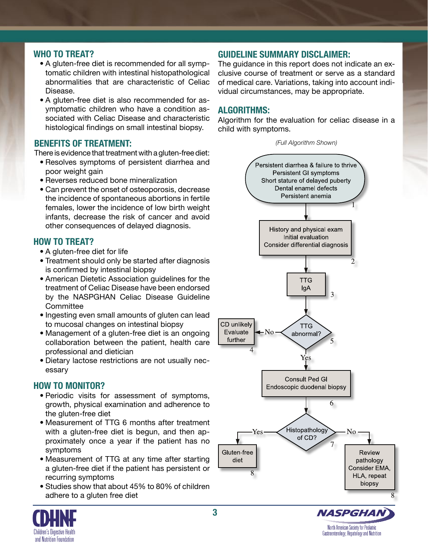## **WHO TO TREAT?**

- A gluten-free diet is recommended for all symptomatic children with intestinal histopathological abnormalities that are characteristic of Celiac Disease.
- A gluten-free diet is also recommended for asymptomatic children who have a condition associated with Celiac Disease and characteristic histological findings on small intestinal biopsy.

## **BENEFITS OF TREATMENT:**

There is evidence that treatment with a gluten-free diet:

- Resolves symptoms of persistent diarrhea and poor weight gain
- Reverses reduced bone mineralization
- Can prevent the onset of osteoporosis, decrease the incidence of spontaneous abortions in fertile females, lower the incidence of low birth weight infants, decrease the risk of cancer and avoid other consequences of delayed diagnosis.

#### **HOW TO TREAT?**

- A gluten-free diet for life
- Treatment should only be started after diagnosis is confirmed by intestinal biopsy
- American Dietetic Association guidelines for the treatment of Celiac Disease have been endorsed by the NASPGHAN Celiac Disease Guideline **Committee**
- Ingesting even small amounts of gluten can lead to mucosal changes on intestinal biopsy
- Management of a gluten-free diet is an ongoing collaboration between the patient, health care professional and dietician
- Dietary lactose restrictions are not usually necessary

## **HOW TO MONITOR?**

- Periodic visits for assessment of symptoms, growth, physical examination and adherence to the gluten-free diet
- Measurement of TTG 6 months after treatment with a gluten-free diet is begun, and then approximately once a year if the patient has no symptoms
- Measurement of TTG at any time after starting a gluten-free diet if the patient has persistent or recurring symptoms
- Studies show that about 45% to 80% of children adhere to a gluten free diet

## **GUIDELINE SUMMARY DISCLAIMER:**

The guidance in this report does not indicate an exclusive course of treatment or serve as a standard of medical care. Variations, taking into account individual circumstances, may be appropriate.

## **ALGORITHMS:**

Algorithm for the evaluation for celiac disease in a child with symptoms.



North American Society for Pediatric

Gastroenterology, Hepatology and Nutrition



**3**